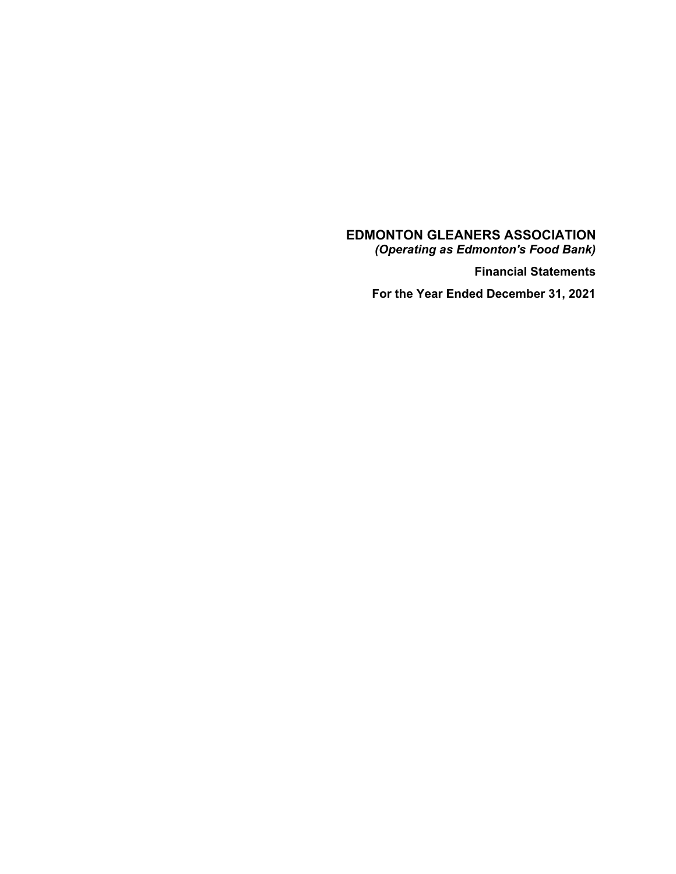**EDMONTON GLEANERS ASSOCIATION**

*(Operating as Edmonton's Food Bank)*

**Financial Statements**

**For the Year Ended December 31, 2021**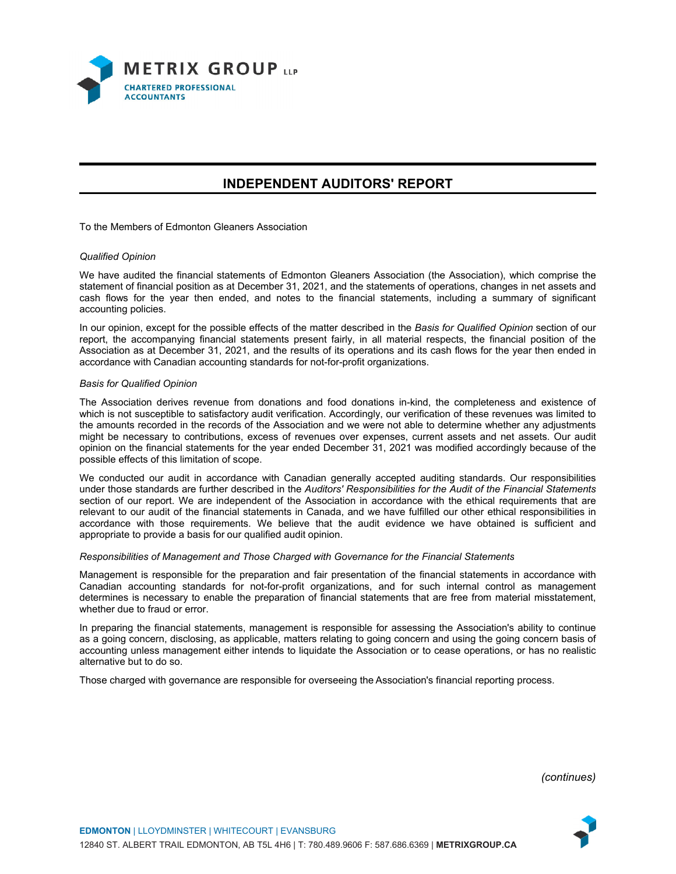

# **INDEPENDENT AUDITORS' REPORT**

To the Members of Edmonton Gleaners Association

#### *Qualified Opinion*

We have audited the financial statements of Edmonton Gleaners Association (the Association), which comprise the statement of financial position as at December 31, 2021, and the statements of operations, changes in net assets and cash flows for the year then ended, and notes to the financial statements, including a summary of significant accounting policies.

In our opinion, except for the possible effects of the matter described in the *Basis for Qualified Opinion* section of our report, the accompanying financial statements present fairly, in all material respects, the financial position of the Association as at December 31, 2021, and the results of its operations and its cash flows for the year then ended in accordance with Canadian accounting standards for not-for-profit organizations.

#### *Basis for Qualified Opinion*

The Association derives revenue from donations and food donations in-kind, the completeness and existence of which is not susceptible to satisfactory audit verification. Accordingly, our verification of these revenues was limited to the amounts recorded in the records of the Association and we were not able to determine whether any adjustments might be necessary to contributions, excess of revenues over expenses, current assets and net assets. Our audit opinion on the financial statements for the year ended December 31, 2021 was modified accordingly because of the possible effects of this limitation of scope.

We conducted our audit in accordance with Canadian generally accepted auditing standards. Our responsibilities under those standards are further described in the *Auditors' Responsibilities for the Audit of the Financial Statements* section of our report. We are independent of the Association in accordance with the ethical requirements that are relevant to our audit of the financial statements in Canada, and we have fulfilled our other ethical responsibilities in accordance with those requirements. We believe that the audit evidence we have obtained is sufficient and appropriate to provide a basis for our qualified audit opinion.

#### *Responsibilities of Management and Those Charged with Governance for the Financial Statements*

Management is responsible for the preparation and fair presentation of the financial statements in accordance with Canadian accounting standards for not-for-profit organizations, and for such internal control as management determines is necessary to enable the preparation of financial statements that are free from material misstatement, whether due to fraud or error.

In preparing the financial statements, management is responsible for assessing the Association's ability to continue as a going concern, disclosing, as applicable, matters relating to going concern and using the going concern basis of accounting unless management either intends to liquidate the Association or to cease operations, or has no realistic alternative but to do so.

Those charged with governance are responsible for overseeing the Association's financial reporting process.

*(continues)*

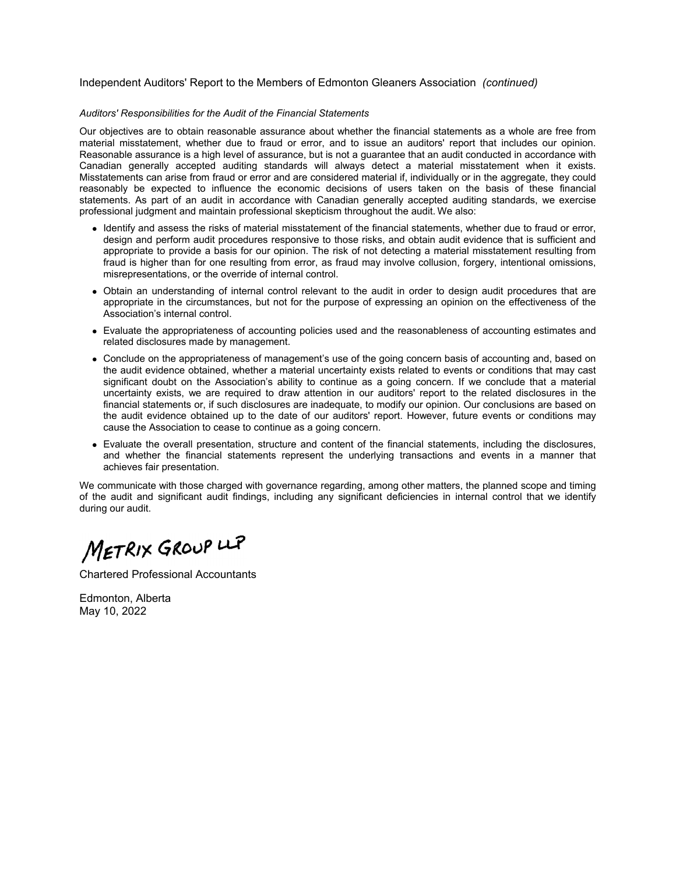#### Independent Auditors' Report to the Members of Edmonton Gleaners Association *(continued)*

#### *Auditors' Responsibilities for the Audit of the Financial Statements*

Our objectives are to obtain reasonable assurance about whether the financial statements as a whole are free from material misstatement, whether due to fraud or error, and to issue an auditors' report that includes our opinion. Reasonable assurance is a high level of assurance, but is not a guarantee that an audit conducted in accordance with Canadian generally accepted auditing standards will always detect a material misstatement when it exists. Misstatements can arise from fraud or error and are considered material if, individually or in the aggregate, they could reasonably be expected to influence the economic decisions of users taken on the basis of these financial statements. As part of an audit in accordance with Canadian generally accepted auditing standards, we exercise professional judgment and maintain professional skepticism throughout the audit. We also:

- Identify and assess the risks of material misstatement of the financial statements, whether due to fraud or error, design and perform audit procedures responsive to those risks, and obtain audit evidence that is sufficient and appropriate to provide a basis for our opinion. The risk of not detecting a material misstatement resulting from fraud is higher than for one resulting from error, as fraud may involve collusion, forgery, intentional omissions, misrepresentations, or the override of internal control.
- Obtain an understanding of internal control relevant to the audit in order to design audit procedures that are appropriate in the circumstances, but not for the purpose of expressing an opinion on the effectiveness of the Association's internal control.
- Evaluate the appropriateness of accounting policies used and the reasonableness of accounting estimates and related disclosures made by management.
- Conclude on the appropriateness of management's use of the going concern basis of accounting and, based on the audit evidence obtained, whether a material uncertainty exists related to events or conditions that may cast significant doubt on the Association's ability to continue as a going concern. If we conclude that a material uncertainty exists, we are required to draw attention in our auditors' report to the related disclosures in the financial statements or, if such disclosures are inadequate, to modify our opinion. Our conclusions are based on the audit evidence obtained up to the date of our auditors' report. However, future events or conditions may cause the Association to cease to continue as a going concern.
- Evaluate the overall presentation, structure and content of the financial statements, including the disclosures, and whether the financial statements represent the underlying transactions and events in a manner that achieves fair presentation.

We communicate with those charged with governance regarding, among other matters, the planned scope and timing of the audit and significant audit findings, including any significant deficiencies in internal control that we identify during our audit.

METRIX GROUP LLP

Chartered Professional Accountants

Edmonton, Alberta May 10, 2022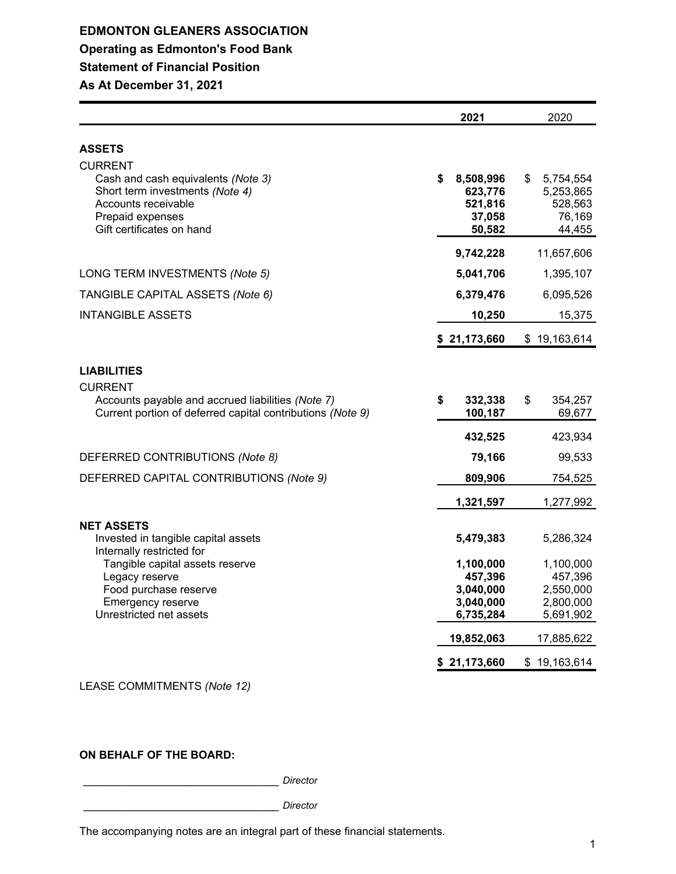# **EDMONTON GLEANERS ASSOCIATION Operating as Edmonton's Food Bank Statement of Financial Position As At December 31, 2021**

|                                                                                                                                                         | 2021                                            | 2020                                              |
|---------------------------------------------------------------------------------------------------------------------------------------------------------|-------------------------------------------------|---------------------------------------------------|
| <b>ASSETS</b>                                                                                                                                           |                                                 |                                                   |
|                                                                                                                                                         |                                                 |                                                   |
| <b>CURRENT</b><br>Cash and cash equivalents (Note 3)<br>Short term investments (Note 4)<br>Accounts receivable<br>Prepaid expenses                      | \$<br>8,508,996<br>623,776<br>521,816<br>37,058 | \$<br>5,754,554<br>5,253,865<br>528,563<br>76,169 |
| Gift certificates on hand                                                                                                                               | 50,582                                          | 44,455                                            |
|                                                                                                                                                         | 9,742,228                                       | 11,657,606                                        |
| LONG TERM INVESTMENTS (Note 5)                                                                                                                          | 5,041,706                                       | 1,395,107                                         |
| TANGIBLE CAPITAL ASSETS (Note 6)                                                                                                                        | 6,379,476                                       | 6,095,526                                         |
| <b>INTANGIBLE ASSETS</b>                                                                                                                                | 10,250                                          | 15,375                                            |
|                                                                                                                                                         | \$21,173,660                                    | \$19,163,614                                      |
| <b>LIABILITIES</b><br><b>CURRENT</b><br>Accounts payable and accrued liabilities (Note 7)<br>Current portion of deferred capital contributions (Note 9) | \$<br>332,338<br>100,187                        | \$<br>354,257<br>69,677                           |
|                                                                                                                                                         | 432,525                                         | 423,934                                           |
| DEFERRED CONTRIBUTIONS (Note 8)                                                                                                                         | 79,166                                          | 99,533                                            |
| DEFERRED CAPITAL CONTRIBUTIONS (Note 9)                                                                                                                 | 809,906                                         | 754,525                                           |
|                                                                                                                                                         | 1,321,597                                       | 1,277,992                                         |
| <b>NET ASSETS</b><br>Invested in tangible capital assets<br>Internally restricted for                                                                   | 5,479,383                                       | 5,286,324                                         |
| Tangible capital assets reserve                                                                                                                         | 1,100,000                                       | 1,100,000                                         |
| Legacy reserve<br>Food purchase reserve                                                                                                                 | 457,396<br>3,040,000                            | 457,396<br>2,550,000                              |
| Emergency reserve                                                                                                                                       | 3,040,000                                       | 2,800,000                                         |
| Unrestricted net assets                                                                                                                                 | 6,735,284                                       | 5,691,902                                         |
|                                                                                                                                                         | 19,852,063                                      | 17,885,622                                        |
|                                                                                                                                                         | \$21,173,660                                    | \$19,163,614                                      |

LEASE COMMITMENTS *(Note 12)*

**ON BEHALF OF THE BOARD:**

\_\_\_\_\_\_\_\_\_\_\_\_\_\_\_\_\_\_\_\_\_\_\_\_\_\_\_\_\_ *Director*

\_\_\_\_\_\_\_\_\_\_\_\_\_\_\_\_\_\_\_\_\_\_\_\_\_\_\_\_\_ *Director*

The accompanying notes are an integral part of these financial statements.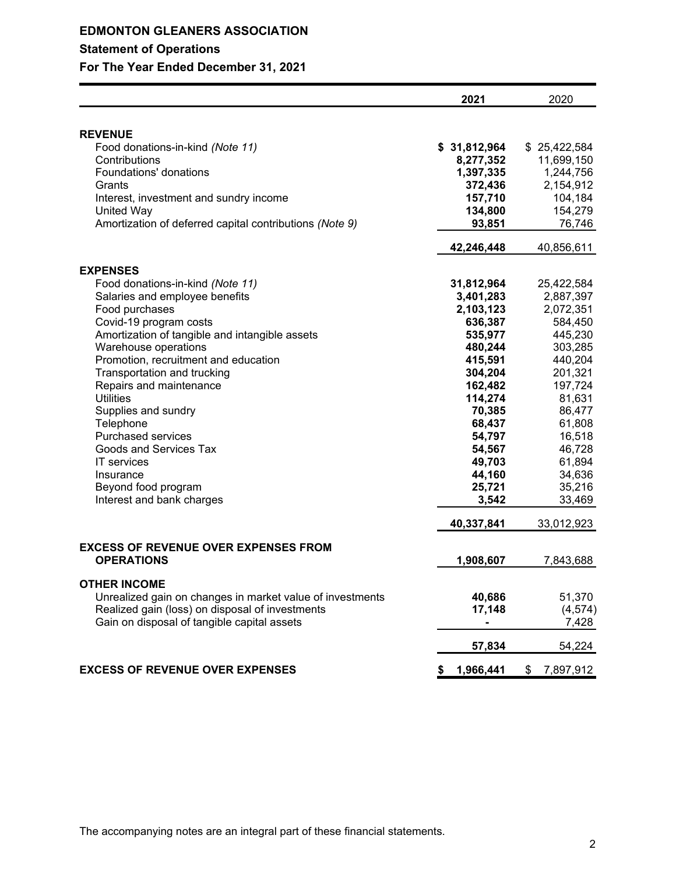# **EDMONTON GLEANERS ASSOCIATION Statement of Operations**

**For The Year Ended December 31, 2021**

|                                                                       | 2021                   | 2020                    |
|-----------------------------------------------------------------------|------------------------|-------------------------|
|                                                                       |                        |                         |
| <b>REVENUE</b>                                                        |                        | \$25,422,584            |
| Food donations-in-kind (Note 11)<br>Contributions                     | \$31,812,964           |                         |
| Foundations' donations                                                | 8,277,352<br>1,397,335 | 11,699,150<br>1,244,756 |
| Grants                                                                |                        | 2,154,912               |
|                                                                       | 372,436                |                         |
| Interest, investment and sundry income                                | 157,710                | 104,184                 |
| United Way<br>Amortization of deferred capital contributions (Note 9) | 134,800                | 154,279                 |
|                                                                       | 93,851                 | 76,746                  |
|                                                                       | 42,246,448             | 40,856,611              |
| <b>EXPENSES</b>                                                       |                        |                         |
| Food donations-in-kind (Note 11)                                      | 31,812,964             | 25,422,584              |
| Salaries and employee benefits                                        | 3,401,283              | 2,887,397               |
| Food purchases                                                        | 2,103,123              | 2,072,351               |
| Covid-19 program costs                                                | 636,387                | 584,450                 |
| Amortization of tangible and intangible assets                        | 535,977                | 445,230                 |
| Warehouse operations                                                  | 480,244                | 303,285                 |
| Promotion, recruitment and education                                  | 415,591                | 440,204                 |
| Transportation and trucking                                           | 304,204                | 201,321                 |
| Repairs and maintenance                                               | 162,482                | 197,724                 |
| <b>Utilities</b>                                                      | 114,274                | 81,631                  |
| Supplies and sundry                                                   | 70,385                 | 86,477                  |
| Telephone                                                             | 68,437                 | 61,808                  |
| Purchased services                                                    | 54,797                 | 16,518                  |
| Goods and Services Tax                                                | 54,567                 | 46,728                  |
| <b>IT</b> services                                                    | 49,703                 | 61,894                  |
| Insurance                                                             | 44,160                 | 34,636                  |
| Beyond food program                                                   | 25,721                 | 35,216                  |
| Interest and bank charges                                             | 3,542                  | 33,469                  |
|                                                                       | 40,337,841             | 33,012,923              |
| <b>EXCESS OF REVENUE OVER EXPENSES FROM</b>                           |                        |                         |
| <b>OPERATIONS</b>                                                     | 1,908,607              | 7,843,688               |
| <b>OTHER INCOME</b>                                                   |                        |                         |
| Unrealized gain on changes in market value of investments             | 40,686                 | 51,370                  |
| Realized gain (loss) on disposal of investments                       | 17,148                 | (4, 574)                |
| Gain on disposal of tangible capital assets                           |                        | 7,428                   |
|                                                                       | 57,834                 | 54,224                  |
| <b>EXCESS OF REVENUE OVER EXPENSES</b>                                | 1,966,441<br>S         | 7,897,912<br>\$         |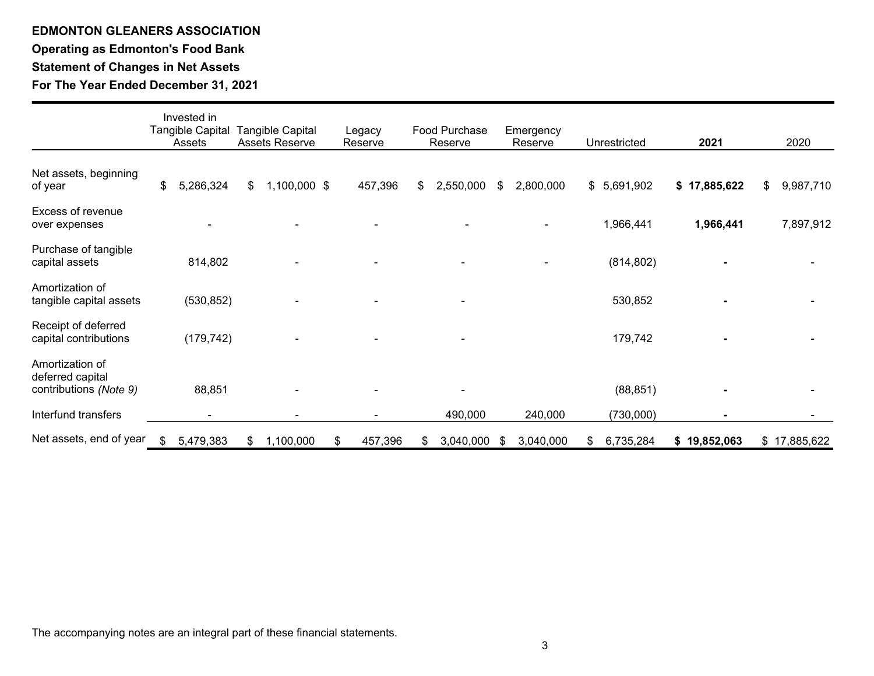# **EDMONTON GLEANERS ASSOCIATION Operating as Edmonton's Food Bank Statement of Changes in Net Assets For The Year Ended December 31, 2021**

|                                                               | Invested in<br>Tangible Capital<br>Assets | <b>Tangible Capital</b><br><b>Assets Reserve</b> |   | Legacy<br>Reserve | Food Purchase<br>Reserve |    | Emergency<br>Reserve |    | Unrestricted | 2021         | 2020            |
|---------------------------------------------------------------|-------------------------------------------|--------------------------------------------------|---|-------------------|--------------------------|----|----------------------|----|--------------|--------------|-----------------|
| Net assets, beginning<br>of year                              | \$<br>5,286,324                           | \$<br>1,100,000 \$                               |   | 457,396           | \$<br>2,550,000          | S  | 2,800,000            |    | \$5,691,902  | \$17,885,622 | \$<br>9,987,710 |
| Excess of revenue<br>over expenses                            |                                           |                                                  |   |                   |                          |    |                      |    | 1,966,441    | 1,966,441    | 7,897,912       |
| Purchase of tangible<br>capital assets                        | 814,802                                   |                                                  |   |                   |                          |    |                      |    | (814, 802)   |              |                 |
| Amortization of<br>tangible capital assets                    | (530, 852)                                |                                                  |   |                   |                          |    |                      |    | 530,852      |              |                 |
| Receipt of deferred<br>capital contributions                  | (179, 742)                                |                                                  |   |                   |                          |    |                      |    | 179,742      |              |                 |
| Amortization of<br>deferred capital<br>contributions (Note 9) | 88,851                                    |                                                  |   |                   |                          |    |                      |    | (88, 851)    |              |                 |
| Interfund transfers                                           |                                           |                                                  |   |                   | 490,000                  |    | 240,000              |    | (730,000)    |              |                 |
| Net assets, end of year                                       | \$<br>5,479,383                           | \$<br>1,100,000                                  | S | 457,396           | 3,040,000                | S. | 3,040,000            | S. | 6,735,284    | \$19,852,063 | \$17,885,622    |

The accompanying notes are an integral part of these financial statements.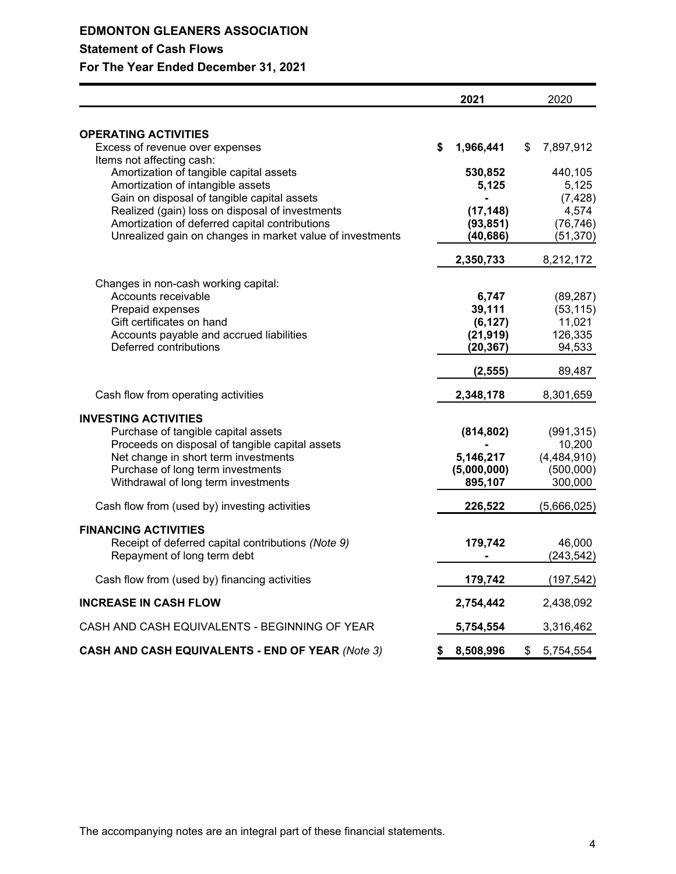|                                                              | 2021            | 2020            |
|--------------------------------------------------------------|-----------------|-----------------|
|                                                              |                 |                 |
| <b>OPERATING ACTIVITIES</b>                                  |                 |                 |
| Excess of revenue over expenses<br>Items not affecting cash: | \$<br>1,966,441 | \$<br>7,897,912 |
| Amortization of tangible capital assets                      | 530,852         | 440,105         |
| Amortization of intangible assets                            | 5,125           | 5,125           |
| Gain on disposal of tangible capital assets                  |                 | (7, 428)        |
| Realized (gain) loss on disposal of investments              | (17, 148)       | 4,574           |
| Amortization of deferred capital contributions               | (93, 851)       | (76, 746)       |
| Unrealized gain on changes in market value of investments    | (40, 686)       | (51, 370)       |
|                                                              | 2,350,733       | 8,212,172       |
| Changes in non-cash working capital:                         |                 |                 |
| Accounts receivable                                          | 6,747           | (89, 287)       |
| Prepaid expenses                                             | 39,111          | (53, 115)       |
| Gift certificates on hand                                    | (6, 127)        | 11,021          |
| Accounts payable and accrued liabilities                     | (21, 919)       | 126,335         |
| Deferred contributions                                       | (20, 367)       | 94,533          |
|                                                              | (2, 555)        | 89,487          |
| Cash flow from operating activities                          | 2,348,178       | 8,301,659       |
| <b>INVESTING ACTIVITIES</b>                                  |                 |                 |
| Purchase of tangible capital assets                          | (814, 802)      | (991, 315)      |
| Proceeds on disposal of tangible capital assets              |                 | 10,200          |
| Net change in short term investments                         | 5,146,217       | (4,484,910)     |
| Purchase of long term investments                            | (5,000,000)     | (500,000)       |
| Withdrawal of long term investments                          | 895,107         | 300,000         |
| Cash flow from (used by) investing activities                | 226,522         | (5,666,025)     |
| <b>FINANCING ACTIVITIES</b>                                  |                 |                 |
| Receipt of deferred capital contributions (Note 9)           | 179,742         | 46,000          |
| Repayment of long term debt                                  |                 | (243, 542)      |
| Cash flow from (used by) financing activities                | 179,742         | (197, 542)      |
| <b>INCREASE IN CASH FLOW</b>                                 | 2,754,442       | 2,438,092       |
| CASH AND CASH EQUIVALENTS - BEGINNING OF YEAR                | 5,754,554       | 3,316,462       |
| <b>CASH AND CASH EQUIVALENTS - END OF YEAR (Note 3)</b>      | \$<br>8,508,996 | \$<br>5,754,554 |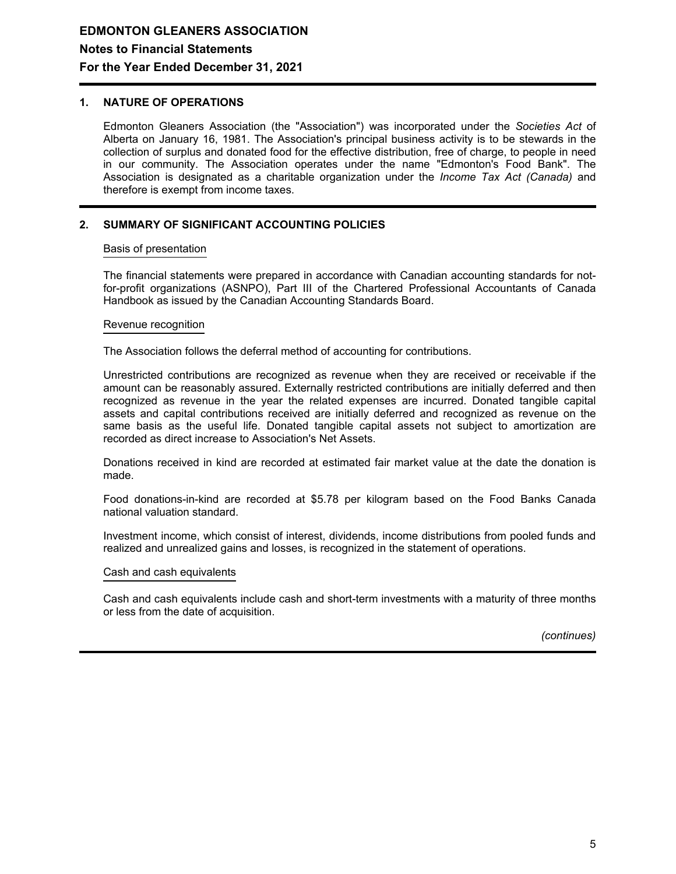## **1. NATURE OF OPERATIONS**

Edmonton Gleaners Association (the "Association") was incorporated under the *Societies Act* of Alberta on January 16, 1981. The Association's principal business activity is to be stewards in the collection of surplus and donated food for the effective distribution, free of charge, to people in need in our community. The Association operates under the name "Edmonton's Food Bank". The Association is designated as a charitable organization under the *Income Tax Act (Canada)* and therefore is exempt from income taxes.

## **2. SUMMARY OF SIGNIFICANT ACCOUNTING POLICIES**

## Basis of presentation

The financial statements were prepared in accordance with Canadian accounting standards for notfor-profit organizations (ASNPO), Part III of the Chartered Professional Accountants of Canada Handbook as issued by the Canadian Accounting Standards Board.

### Revenue recognition

The Association follows the deferral method of accounting for contributions.

Unrestricted contributions are recognized as revenue when they are received or receivable if the amount can be reasonably assured. Externally restricted contributions are initially deferred and then recognized as revenue in the year the related expenses are incurred. Donated tangible capital assets and capital contributions received are initially deferred and recognized as revenue on the same basis as the useful life. Donated tangible capital assets not subject to amortization are recorded as direct increase to Association's Net Assets.

Donations received in kind are recorded at estimated fair market value at the date the donation is made.

Food donations-in-kind are recorded at \$5.78 per kilogram based on the Food Banks Canada national valuation standard.

Investment income, which consist of interest, dividends, income distributions from pooled funds and realized and unrealized gains and losses, is recognized in the statement of operations.

#### Cash and cash equivalents

Cash and cash equivalents include cash and short-term investments with a maturity of three months or less from the date of acquisition.

*(continues)*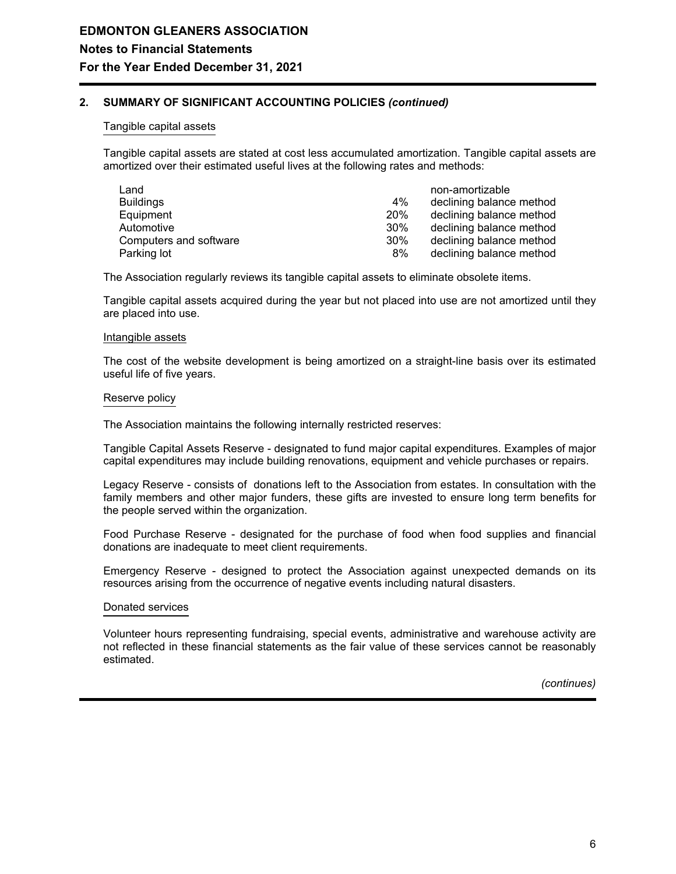## **2. SUMMARY OF SIGNIFICANT ACCOUNTING POLICIES** *(continued)*

## Tangible capital assets

Tangible capital assets are stated at cost less accumulated amortization. Tangible capital assets are amortized over their estimated useful lives at the following rates and methods:

| Land                   |     | non-amortizable          |
|------------------------|-----|--------------------------|
| <b>Buildings</b>       | 4%  | declining balance method |
| Equipment              | 20% | declining balance method |
| Automotive             | 30% | declining balance method |
| Computers and software | 30% | declining balance method |
| Parking lot            | 8%  | declining balance method |

The Association regularly reviews its tangible capital assets to eliminate obsolete items.

Tangible capital assets acquired during the year but not placed into use are not amortized until they are placed into use.

#### Intangible assets

The cost of the website development is being amortized on a straight-line basis over its estimated useful life of five years.

### Reserve policy

The Association maintains the following internally restricted reserves:

Tangible Capital Assets Reserve - designated to fund major capital expenditures. Examples of major capital expenditures may include building renovations, equipment and vehicle purchases or repairs.

Legacy Reserve - consists of donations left to the Association from estates. In consultation with the family members and other major funders, these gifts are invested to ensure long term benefits for the people served within the organization.

Food Purchase Reserve - designated for the purchase of food when food supplies and financial donations are inadequate to meet client requirements.

Emergency Reserve - designed to protect the Association against unexpected demands on its resources arising from the occurrence of negative events including natural disasters.

## Donated services

Volunteer hours representing fundraising, special events, administrative and warehouse activity are not reflected in these financial statements as the fair value of these services cannot be reasonably estimated.

*(continues)*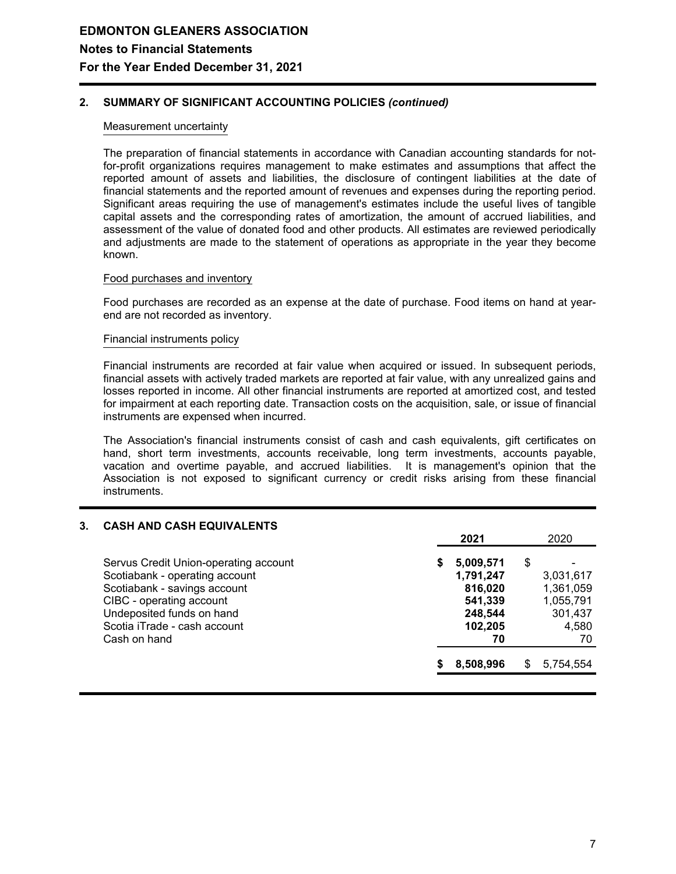## **2. SUMMARY OF SIGNIFICANT ACCOUNTING POLICIES** *(continued)*

## Measurement uncertainty

The preparation of financial statements in accordance with Canadian accounting standards for notfor-profit organizations requires management to make estimates and assumptions that affect the reported amount of assets and liabilities, the disclosure of contingent liabilities at the date of financial statements and the reported amount of revenues and expenses during the reporting period. Significant areas requiring the use of management's estimates include the useful lives of tangible capital assets and the corresponding rates of amortization, the amount of accrued liabilities, and assessment of the value of donated food and other products. All estimates are reviewed periodically and adjustments are made to the statement of operations as appropriate in the year they become known.

#### Food purchases and inventory

Food purchases are recorded as an expense at the date of purchase. Food items on hand at yearend are not recorded as inventory.

### Financial instruments policy

Financial instruments are recorded at fair value when acquired or issued. In subsequent periods, financial assets with actively traded markets are reported at fair value, with any unrealized gains and losses reported in income. All other financial instruments are reported at amortized cost, and tested for impairment at each reporting date. Transaction costs on the acquisition, sale, or issue of financial instruments are expensed when incurred.

The Association's financial instruments consist of cash and cash equivalents, gift certificates on hand, short term investments, accounts receivable, long term investments, accounts payable, vacation and overtime payable, and accrued liabilities. It is management's opinion that the Association is not exposed to significant currency or credit risks arising from these financial instruments.

| 3. | <b>CASH AND CASH EQUIVALENTS</b>      |   |           |    |           |
|----|---------------------------------------|---|-----------|----|-----------|
|    |                                       |   | 2021      |    | 2020      |
|    | Servus Credit Union-operating account | S | 5,009,571 | \$ |           |
|    | Scotiabank - operating account        |   | 1,791,247 |    | 3,031,617 |
|    | Scotiabank - savings account          |   | 816,020   |    | 1,361,059 |
|    | CIBC - operating account              |   | 541,339   |    | 1,055,791 |
|    | Undeposited funds on hand             |   | 248,544   |    | 301,437   |
|    | Scotia iTrade - cash account          |   | 102,205   |    | 4,580     |
|    | Cash on hand                          |   | 70        |    | 70        |
|    |                                       |   | 8,508,996 | S  | 5,754,554 |
|    |                                       |   |           |    |           |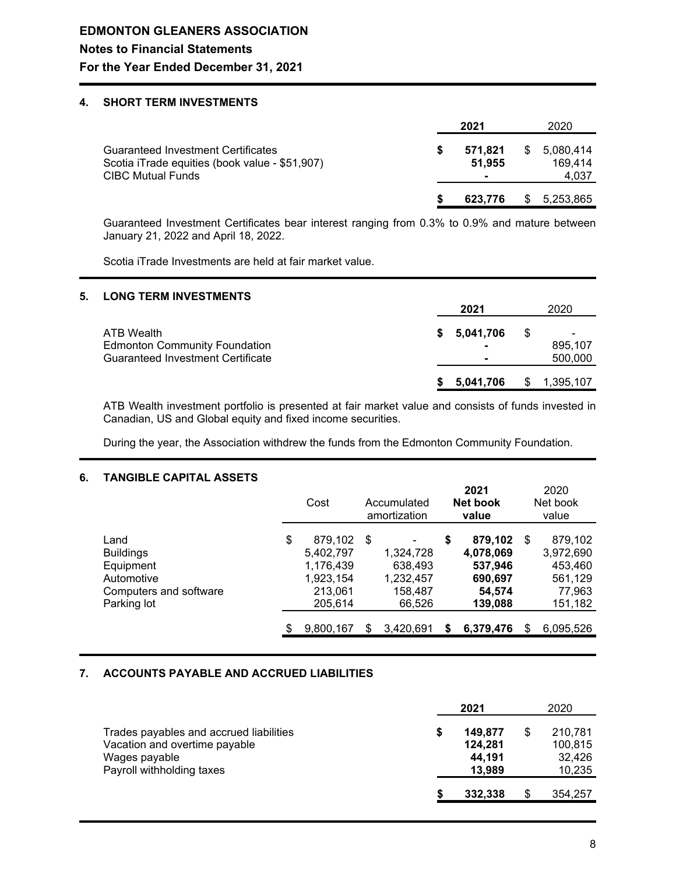## **4. SHORT TERM INVESTMENTS**

|                                                                                                                         |  |                   | 2020 |                               |
|-------------------------------------------------------------------------------------------------------------------------|--|-------------------|------|-------------------------------|
| <b>Guaranteed Investment Certificates</b><br>Scotia iTrade equities (book value - \$51,907)<br><b>CIBC Mutual Funds</b> |  | 571.821<br>51.955 | S    | 5,080,414<br>169.414<br>4,037 |
|                                                                                                                         |  | 623.776           | S    | 5,253,865                     |

Guaranteed Investment Certificates bear interest ranging from 0.3% to 0.9% and mature between January 21, 2022 and April 18, 2022.

Scotia iTrade Investments are held at fair market value.

## **5. LONG TERM INVESTMENTS**

|                                                                                                | 2021        | 2020                          |
|------------------------------------------------------------------------------------------------|-------------|-------------------------------|
| ATB Wealth<br><b>Edmonton Community Foundation</b><br><b>Guaranteed Investment Certificate</b> | \$5,041,706 | \$<br>-<br>895.107<br>500,000 |
|                                                                                                | 5.041.706   | 1,395,107                     |

ATB Wealth investment portfolio is presented at fair market value and consists of funds invested in Canadian, US and Global equity and fixed income securities.

During the year, the Association withdrew the funds from the Edmonton Community Foundation.

## **6. TANGIBLE CAPITAL ASSETS**

|                                                                                              | Cost                                                                       |     | Accumulated<br>amortization                            |    | 2021<br>Net book<br>value                                       |    | 2020<br>Net book<br>value                                       |
|----------------------------------------------------------------------------------------------|----------------------------------------------------------------------------|-----|--------------------------------------------------------|----|-----------------------------------------------------------------|----|-----------------------------------------------------------------|
| Land<br><b>Buildings</b><br>Equipment<br>Automotive<br>Computers and software<br>Parking lot | \$<br>879,102<br>5,402,797<br>1,176,439<br>1,923,154<br>213,061<br>205,614 | -\$ | 1,324,728<br>638,493<br>1,232,457<br>158,487<br>66,526 | \$ | 879,102<br>4,078,069<br>537,946<br>690,697<br>54.574<br>139,088 | \$ | 879,102<br>3,972,690<br>453,460<br>561,129<br>77,963<br>151,182 |
|                                                                                              | 9,800,167                                                                  | S   | 3,420,691                                              | S  | 6,379,476                                                       | S. | 6,095,526                                                       |

## **7. ACCOUNTS PAYABLE AND ACCRUED LIABILITIES**

|                                                                                                                        | 2021 |                                        |   | 2020                                   |
|------------------------------------------------------------------------------------------------------------------------|------|----------------------------------------|---|----------------------------------------|
| Trades payables and accrued liabilities<br>Vacation and overtime payable<br>Wages payable<br>Payroll withholding taxes |      | 149,877<br>124,281<br>44.191<br>13.989 | S | 210,781<br>100,815<br>32,426<br>10,235 |
|                                                                                                                        |      | 332.338                                | S | 354.257                                |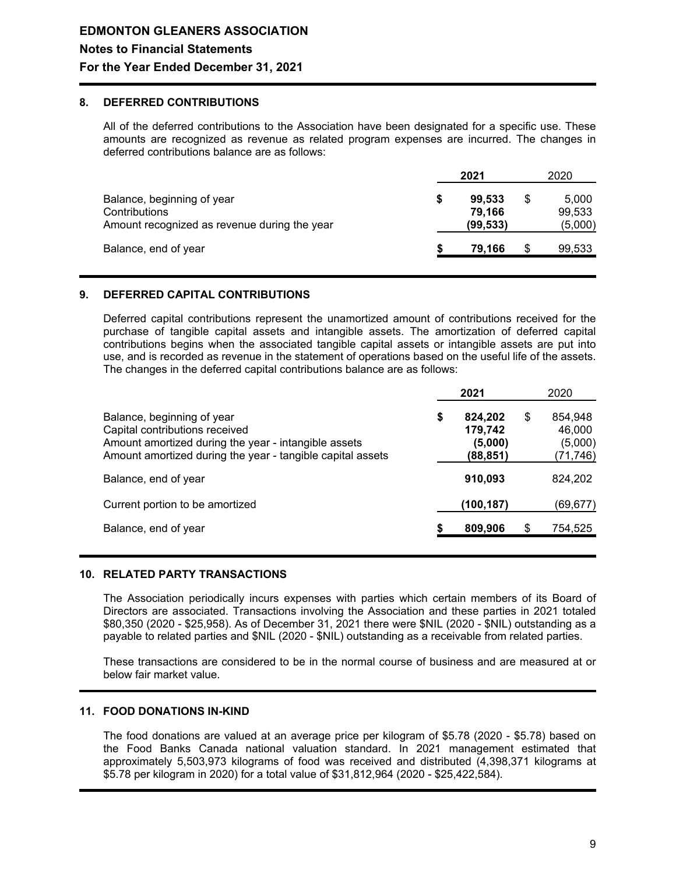## **8. DEFERRED CONTRIBUTIONS**

All of the deferred contributions to the Association have been designated for a specific use. These amounts are recognized as revenue as related program expenses are incurred. The changes in deferred contributions balance are as follows:

|                                                                                             | 2021 |                               |    | 2020                       |
|---------------------------------------------------------------------------------------------|------|-------------------------------|----|----------------------------|
| Balance, beginning of year<br>Contributions<br>Amount recognized as revenue during the year |      | 99,533<br>79.166<br>(99, 533) | \$ | 5.000<br>99.533<br>(5,000) |
| Balance, end of year                                                                        |      | 79.166                        | S  | 99,533                     |

## **9. DEFERRED CAPITAL CONTRIBUTIONS**

Deferred capital contributions represent the unamortized amount of contributions received for the purchase of tangible capital assets and intangible assets. The amortization of deferred capital contributions begins when the associated tangible capital assets or intangible assets are put into use, and is recorded as revenue in the statement of operations based on the useful life of the assets. The changes in the deferred capital contributions balance are as follows:

|                                                                                                                                                                                    |   | 2021                                      | 2020                                           |
|------------------------------------------------------------------------------------------------------------------------------------------------------------------------------------|---|-------------------------------------------|------------------------------------------------|
| Balance, beginning of year<br>Capital contributions received<br>Amount amortized during the year - intangible assets<br>Amount amortized during the year - tangible capital assets | S | 824,202<br>179,742<br>(5,000)<br>(88,851) | \$<br>854.948<br>46.000<br>(5,000)<br>(71,746) |
| Balance, end of year                                                                                                                                                               |   | 910,093                                   | 824,202                                        |
| Current portion to be amortized                                                                                                                                                    |   | (100,187)                                 | (69,677)                                       |
| Balance, end of year                                                                                                                                                               |   | 809,906                                   | \$<br>754,525                                  |

## **10. RELATED PARTY TRANSACTIONS**

The Association periodically incurs expenses with parties which certain members of its Board of Directors are associated. Transactions involving the Association and these parties in 2021 totaled \$80,350 (2020 - \$25,958). As of December 31, 2021 there were \$NIL (2020 - \$NIL) outstanding as a payable to related parties and \$NIL (2020 - \$NIL) outstanding as a receivable from related parties.

These transactions are considered to be in the normal course of business and are measured at or below fair market value.

## **11. FOOD DONATIONS IN-KIND**

The food donations are valued at an average price per kilogram of \$5.78 (2020 - \$5.78) based on the Food Banks Canada national valuation standard. In 2021 management estimated that approximately 5,503,973 kilograms of food was received and distributed (4,398,371 kilograms at \$5.78 per kilogram in 2020) for a total value of \$31,812,964 (2020 - \$25,422,584).